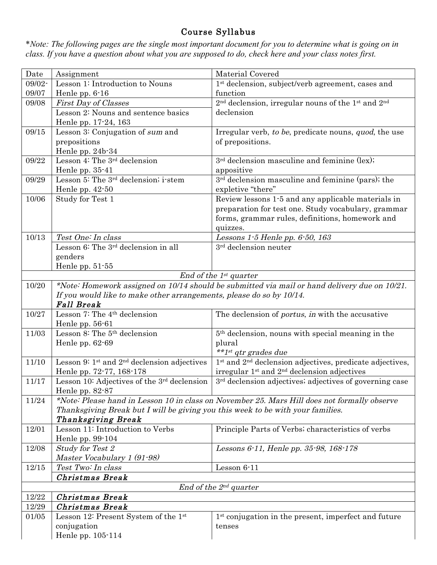## Course Syllabus

\**Note: The following pages are the single most important document for you to determine what is going on in class. If you have a question about what you are supposed to do, check here and your class notes first.* 

| Date                        | Assignment                                                                      | Material Covered                                                                              |  |
|-----------------------------|---------------------------------------------------------------------------------|-----------------------------------------------------------------------------------------------|--|
| 09/02-                      | Lesson 1: Introduction to Nouns                                                 | 1 <sup>st</sup> declension, subject/verb agreement, cases and                                 |  |
| 09/07                       | Henle pp. 6-16                                                                  | function                                                                                      |  |
| 09/08                       | <b>First Day of Classes</b>                                                     | 2 <sup>nd</sup> declension, irregular nouns of the 1 <sup>st</sup> and 2 <sup>nd</sup>        |  |
|                             | Lesson 2: Nouns and sentence basics                                             | declension                                                                                    |  |
|                             | Henle pp. 17-24, 163                                                            |                                                                                               |  |
| 09/15                       | Lesson 3: Conjugation of sum and                                                | Irregular verb, to be, predicate nouns, quod, the use                                         |  |
|                             | prepositions                                                                    | of prepositions.                                                                              |  |
|                             | Henle pp. 24b-34                                                                |                                                                                               |  |
| 09/22                       | Lesson 4: The 3 <sup>rd</sup> declension                                        | 3 <sup>rd</sup> declension masculine and feminine (lex);                                      |  |
|                             | Henle pp. 35-41                                                                 | appositive                                                                                    |  |
| 09/29                       | Lesson 5: The $3^{rd}$ declension; i-stem                                       | $3rd$ declension masculine and feminine (pars); the                                           |  |
|                             | Henle pp. $42-50$                                                               | expletive "there"                                                                             |  |
| 10/06                       | Study for Test 1                                                                | Review lessons 1.5 and any applicable materials in                                            |  |
|                             |                                                                                 | preparation for test one. Study vocabulary, grammar                                           |  |
|                             |                                                                                 | forms, grammar rules, definitions, homework and                                               |  |
|                             |                                                                                 | quizzes.                                                                                      |  |
| 10/13                       | Test One: In class                                                              | Lessons $1.5$ Henle pp. $6.50$ , $163$                                                        |  |
|                             | Lesson 6: The 3 <sup>rd</sup> declension in all                                 | 3 <sup>rd</sup> declension neuter                                                             |  |
|                             | genders                                                                         |                                                                                               |  |
|                             | Henle pp. $51-55$                                                               |                                                                                               |  |
|                             |                                                                                 | End of the $1^{st}$ quarter                                                                   |  |
| 10/20                       |                                                                                 | *Note: Homework assigned on 10/14 should be submitted via mail or hand delivery due on 10/21. |  |
|                             | If you would like to make other arrangements, please do so by 10/14.            |                                                                                               |  |
|                             | <b>Fall Break</b>                                                               |                                                                                               |  |
| 10/27                       | Lesson 7: The 4 <sup>th</sup> declension                                        | The declension of <i>portus</i> , <i>in</i> with the accusative                               |  |
|                             | Henle pp. 56-61                                                                 |                                                                                               |  |
| 11/03                       | Lesson 8: The 5 <sup>th</sup> declension                                        | 5 <sup>th</sup> declension, nouns with special meaning in the                                 |  |
|                             | Henle pp. $62-69$                                                               | plural                                                                                        |  |
|                             |                                                                                 | **1st qtr grades due                                                                          |  |
| 11/10                       | Lesson 9: 1 <sup>st</sup> and 2 <sup>nd</sup> declension adjectives             | $1st$ and $2nd$ declension adjectives, predicate adjectives,                                  |  |
|                             | Henle pp. 72-77, 168-178                                                        | irregular 1 <sup>st</sup> and 2 <sup>nd</sup> declension adjectives                           |  |
| 11/17                       | Lesson 10: Adjectives of the 3rd declension                                     | 3 <sup>rd</sup> declension adjectives; adjectives of governing case                           |  |
|                             | Henle pp. $82-87$                                                               |                                                                                               |  |
| 11/24                       |                                                                                 | *Note: Please hand in Lesson 10 in class on November 25. Mars Hill does not formally observe  |  |
|                             | Thanksgiving Break but I will be giving you this week to be with your families. |                                                                                               |  |
|                             | Thanksgiving Break                                                              |                                                                                               |  |
| 12/01                       | Lesson 11: Introduction to Verbs                                                | Principle Parts of Verbs; characteristics of verbs                                            |  |
|                             | Henle pp. 99-104                                                                |                                                                                               |  |
| 12/08                       | <b>Study for Test 2</b>                                                         | Lessons 6-11, Henle pp. 35-98, 168-178                                                        |  |
|                             | Master Vocabulary 1 (91-98)                                                     |                                                                                               |  |
| 12/15                       | Test Two: In class                                                              | Lesson 6-11                                                                                   |  |
|                             | Christmas Break                                                                 |                                                                                               |  |
| End of the $2^{nd}$ quarter |                                                                                 |                                                                                               |  |
| 12/22                       | Christmas Break                                                                 |                                                                                               |  |
| 12/29                       | <b>Christmas Break</b>                                                          |                                                                                               |  |
| 01/05                       | Lesson 12: Present System of the 1st                                            | 1 <sup>st</sup> conjugation in the present, imperfect and future                              |  |
|                             | conjugation                                                                     | tenses                                                                                        |  |
|                             | Henle pp. 105-114                                                               |                                                                                               |  |